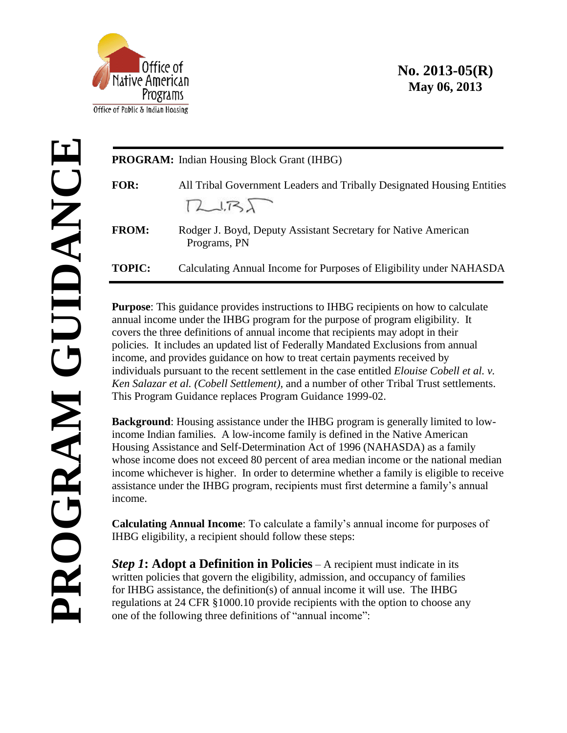

## **No. 2013-05(R) May 06, 2013**

|               | PROGRAM: Indian Housing Block Grant (IHBG)                                                                                                                                                                                                                                                                                                                                                                                                                                                                                                                                                                                                                                                                                                                                                                                                                                                                                                                                                                                                                                                                                                                                                                                                                                                                                              |
|---------------|-----------------------------------------------------------------------------------------------------------------------------------------------------------------------------------------------------------------------------------------------------------------------------------------------------------------------------------------------------------------------------------------------------------------------------------------------------------------------------------------------------------------------------------------------------------------------------------------------------------------------------------------------------------------------------------------------------------------------------------------------------------------------------------------------------------------------------------------------------------------------------------------------------------------------------------------------------------------------------------------------------------------------------------------------------------------------------------------------------------------------------------------------------------------------------------------------------------------------------------------------------------------------------------------------------------------------------------------|
| FOR:          | All Tribal Government Leaders and Tribally Designated Housing Entities<br>72.737                                                                                                                                                                                                                                                                                                                                                                                                                                                                                                                                                                                                                                                                                                                                                                                                                                                                                                                                                                                                                                                                                                                                                                                                                                                        |
| FROM:         | Rodger J. Boyd, Deputy Assistant Secretary for Native American<br>Programs, PN                                                                                                                                                                                                                                                                                                                                                                                                                                                                                                                                                                                                                                                                                                                                                                                                                                                                                                                                                                                                                                                                                                                                                                                                                                                          |
| <b>TOPIC:</b> | Calculating Annual Income for Purposes of Eligibility under NAHASDA                                                                                                                                                                                                                                                                                                                                                                                                                                                                                                                                                                                                                                                                                                                                                                                                                                                                                                                                                                                                                                                                                                                                                                                                                                                                     |
| income.       | <b>Purpose:</b> This guidance provides instructions to IHBG recipients on how to calculate<br>annual income under the IHBG program for the purpose of program eligibility. It<br>covers the three definitions of annual income that recipients may adopt in their<br>policies. It includes an updated list of Federally Mandated Exclusions from annual<br>income, and provides guidance on how to treat certain payments received by<br>individuals pursuant to the recent settlement in the case entitled <i>Elouise Cobell et al. v.</i><br>Ken Salazar et al. (Cobell Settlement), and a number of other Tribal Trust settlements.<br>This Program Guidance replaces Program Guidance 1999-02.<br><b>Background:</b> Housing assistance under the IHBG program is generally limited to low-<br>income Indian families. A low-income family is defined in the Native American<br>Housing Assistance and Self-Determination Act of 1996 (NAHASDA) as a family<br>whose income does not exceed 80 percent of area median income or the national median<br>income whichever is higher. In order to determine whether a family is eligible to receive<br>assistance under the IHBG program, recipients must first determine a family's annual<br><b>Calculating Annual Income:</b> To calculate a family's annual income for purposes of |
|               | IHBG eligibility, a recipient should follow these steps:                                                                                                                                                                                                                                                                                                                                                                                                                                                                                                                                                                                                                                                                                                                                                                                                                                                                                                                                                                                                                                                                                                                                                                                                                                                                                |
|               | <b>Step 1:</b> Adopt a Definition in Policies $-A$ recipient must indicate in its<br>written policies that govern the eligibility, admission, and occupancy of families<br>for IHBG assistance, the definition(s) of annual income it will use. The IHBG<br>regulations at 24 CFR §1000.10 provide recipients with the option to choose any<br>one of the following three definitions of "annual income":                                                                                                                                                                                                                                                                                                                                                                                                                                                                                                                                                                                                                                                                                                                                                                                                                                                                                                                               |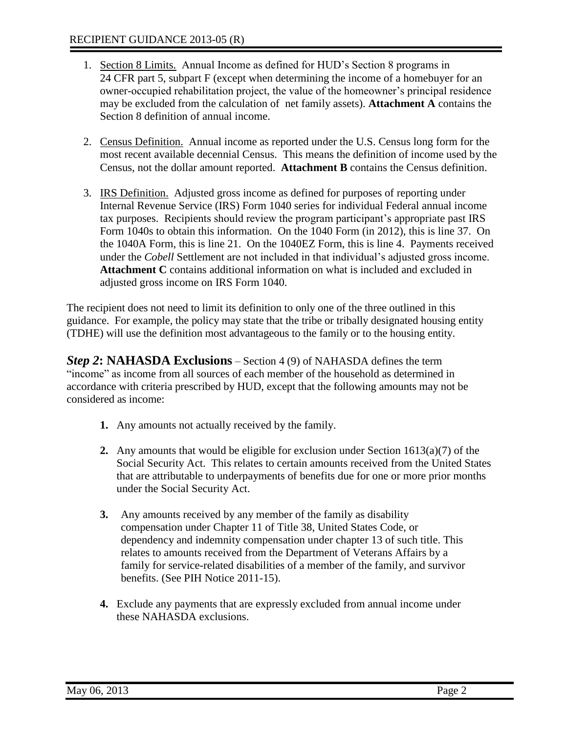- 1. Section 8 Limits. Annual Income as defined for HUD's Section 8 programs in 24 CFR part 5, subpart F (except when determining the income of a homebuyer for an owner-occupied rehabilitation project, the value of the homeowner's principal residence may be excluded from the calculation of net family assets). **Attachment A** contains the Section 8 definition of annual income.
- 2. Census Definition. Annual income as reported under the U.S. Census long form for the most recent available decennial Census. This means the definition of income used by the Census, not the dollar amount reported. **Attachment B** contains the Census definition.
- 3. IRS Definition. Adjusted gross income as defined for purposes of reporting under Internal Revenue Service (IRS) Form 1040 series for individual Federal annual income tax purposes. Recipients should review the program participant's appropriate past IRS Form 1040s to obtain this information. On the 1040 Form (in 2012), this is line 37. On the 1040A Form, this is line 21. On the 1040EZ Form, this is line 4. Payments received under the *Cobell* Settlement are not included in that individual's adjusted gross income. **Attachment C** contains additional information on what is included and excluded in adjusted gross income on IRS Form 1040.

The recipient does not need to limit its definition to only one of the three outlined in this guidance. For example, the policy may state that the tribe or tribally designated housing entity (TDHE) will use the definition most advantageous to the family or to the housing entity.

*Step 2***: NAHASDA Exclusions** – Section 4 (9) of NAHASDA defines the term "income" as income from all sources of each member of the household as determined in accordance with criteria prescribed by HUD, except that the following amounts may not be considered as income:

- **1.** Any amounts not actually received by the family.
- **2.** Any amounts that would be eligible for exclusion under Section 1613(a)(7) of the Social Security Act. This relates to certain amounts received from the United States that are attributable to underpayments of benefits due for one or more prior months under the Social Security Act.
- **3.** Any amounts received by any member of the family as disability compensation under Chapter 11 of Title 38, United States Code, or dependency and indemnity compensation under chapter 13 of such title. This relates to amounts received from the Department of Veterans Affairs by a family for service-related disabilities of a member of the family, and survivor benefits. (See PIH Notice 2011-15).
- **4.** Exclude any payments that are expressly excluded from annual income under these NAHASDA exclusions.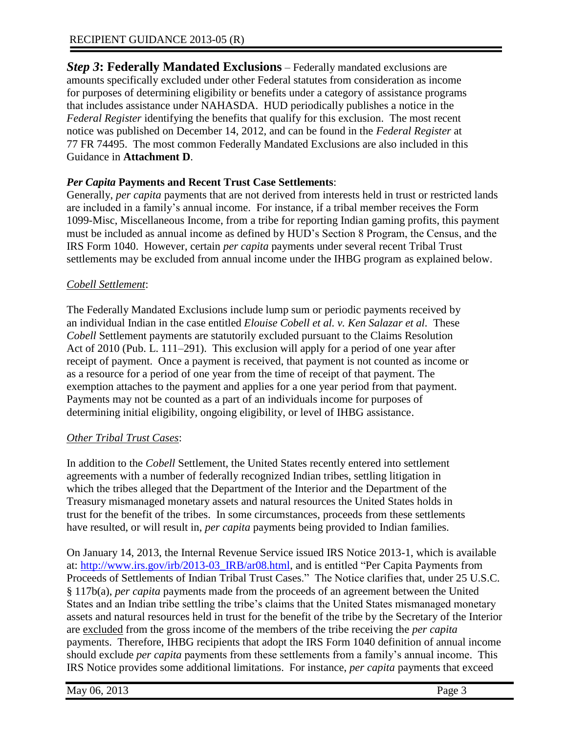*Step 3***: Federally Mandated Exclusions** – Federally mandated exclusions are amounts specifically excluded under other Federal statutes from consideration as income for purposes of determining eligibility or benefits under a category of assistance programs that includes assistance under NAHASDA. HUD periodically publishes a notice in the *Federal Register* identifying the benefits that qualify for this exclusion. The most recent notice was published on December 14, 2012, and can be found in the *Federal Register* at 77 FR 74495. The most common Federally Mandated Exclusions are also included in this Guidance in **Attachment D**.

## *Per Capita* **Payments and Recent Trust Case Settlements**:

Generally, *per capita* payments that are not derived from interests held in trust or restricted lands are included in a family's annual income. For instance, if a tribal member receives the Form 1099-Misc, Miscellaneous Income, from a tribe for reporting Indian gaming profits, this payment must be included as annual income as defined by HUD's Section 8 Program, the Census, and the IRS Form 1040. However, certain *per capita* payments under several recent Tribal Trust settlements may be excluded from annual income under the IHBG program as explained below.

## *Cobell Settlement*:

The Federally Mandated Exclusions include lump sum or periodic payments received by an individual Indian in the case entitled *Elouise Cobell et al. v. Ken Salazar et al.* These *Cobell* Settlement payments are statutorily excluded pursuant to the Claims Resolution Act of 2010 (Pub. L. 111–291). This exclusion will apply for a period of one year after receipt of payment. Once a payment is received, that payment is not counted as income or as a resource for a period of one year from the time of receipt of that payment. The exemption attaches to the payment and applies for a one year period from that payment. Payments may not be counted as a part of an individuals income for purposes of determining initial eligibility, ongoing eligibility, or level of IHBG assistance.

## *Other Tribal Trust Cases*:

In addition to the *Cobell* Settlement, the United States recently entered into settlement agreements with a number of federally recognized Indian tribes, settling litigation in which the tribes alleged that the Department of the Interior and the Department of the Treasury mismanaged monetary assets and natural resources the United States holds in trust for the benefit of the tribes. In some circumstances, proceeds from these settlements have resulted, or will result in, *per capita* payments being provided to Indian families.

On January 14, 2013, the Internal Revenue Service issued IRS Notice 2013-1, which is available at: [http://www.irs.gov/irb/2013-03\\_IRB/ar08.html,](http://www.irs.gov/irb/2013-03_IRB/ar08.html) and is entitled "Per Capita Payments from Proceeds of Settlements of Indian Tribal Trust Cases." The Notice clarifies that, under 25 U.S.C. § 117b(a), *per capita* payments made from the proceeds of an agreement between the United States and an Indian tribe settling the tribe's claims that the United States mismanaged monetary assets and natural resources held in trust for the benefit of the tribe by the Secretary of the Interior are excluded from the gross income of the members of the tribe receiving the *per capita* payments. Therefore, IHBG recipients that adopt the IRS Form 1040 definition of annual income should exclude *per capita* payments from these settlements from a family's annual income. This IRS Notice provides some additional limitations. For instance, *per capita* payments that exceed